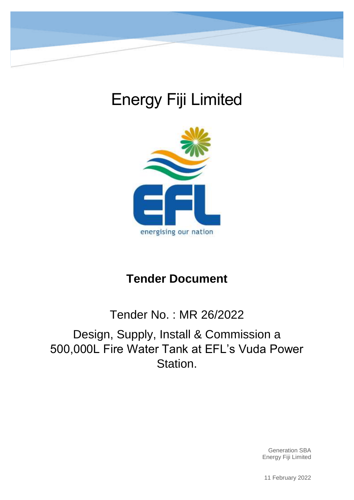

# Energy Fiji Limited



## **Tender Document**

## Tender No. : MR 26/2022 Design, Supply, Install & Commission a 500,000L Fire Water Tank at EFL's Vuda Power Station.

Generation SBA Energy Fiji Limited

11 February 2022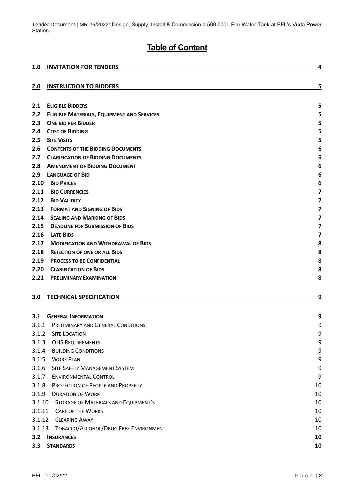## **Table of Content**

| <u>1.0</u> | <b>INVITATION FOR TENDERS</b>                     | 4                       |
|------------|---------------------------------------------------|-------------------------|
|            |                                                   |                         |
| 2.0        | <b>INSTRUCTION TO BIDDERS</b>                     | 5                       |
| 2.1        | <b>ELIGIBLE BIDDERS</b>                           | 5                       |
| 2.2        | <b>ELIGIBLE MATERIALS, EQUIPMENT AND SERVICES</b> | 5                       |
| 2.3        | <b>ONE BID PER BIDDER</b>                         | 5                       |
| 2.4        | <b>COST OF BIDDING</b>                            | 5                       |
| 2.5        | <b>SITE VISITS</b>                                | 5                       |
| 2.6        | <b>CONTENTS OF THE BIDDING DOCUMENTS</b>          | 6                       |
| 2.7        | <b>CLARIFICATION OF BIDDING DOCUMENTS</b>         | 6                       |
| 2.8        | <b>AMENDMENT OF BIDDING DOCUMENT</b>              | 6                       |
| 2.9        | <b>LANGUAGE OF BID</b>                            | 6                       |
| 2.10       | <b>BID PRICES</b>                                 | 6                       |
| 2.11       | <b>BID CURRENCIES</b>                             | $\overline{\mathbf{z}}$ |
| 2.12       | <b>BID VALIDITY</b>                               | 7                       |
| 2.13       | <b>FORMAT AND SIGNING OF BIDS</b>                 | $\overline{\mathbf{z}}$ |
| 2.14       | <b>SEALING AND MARKING OF BIDS</b>                | $\overline{\mathbf{z}}$ |
| 2.15       | <b>DEADLINE FOR SUBMISSION OF BIDS</b>            | 7                       |
| 2.16       | <b>LATE BIDS</b>                                  | $\overline{\mathbf{z}}$ |
| 2.17       | <b>MODIFICATION AND WITHDRAWAL OF BIDS</b>        | 8                       |
| 2.18       | <b>REJECTION OF ONE OR ALL BIDS</b>               | 8                       |
| 2.19       | <b>PROCESS TO BE CONFIDENTIAL</b>                 | 8                       |
| 2.20       | <b>CLARIFICATION OF BIDS</b>                      | 8                       |
| 2.21       | <b>PRELIMINARY EXAMINATION</b>                    | 8                       |
| 3.0        | <b>TECHNICAL SPECIFICATION</b>                    | 9                       |
|            |                                                   |                         |
| 3.1        | <b>GENERAL INFORMATION</b>                        | 9                       |
| 3.1.1      | PRELIMINARY AND GENERAL CONDITIONS                | 9                       |
| 3.1.2      | <b>SITE LOCATION</b>                              | 9                       |
| 3.1.3      | <b>OHS REQUIREMENTS</b>                           | 9                       |
| 3.1.4      | <b>BUILDING CONDITIONS</b>                        | 9                       |
| 3.1.5      | <b>WORK PLAN</b>                                  | 9                       |
| 3.1.6      | <b>SITE SAFETY MANAGEMENT SYSTEM</b>              | 9                       |
| 3.1.7      | <b>ENVIRONMENTAL CONTROL</b>                      | 9                       |
| 3.1.8      | PROTECTION OF PEOPLE AND PROPERTY                 | 10                      |
| 3.1.9      | <b>DURATION OF WORK</b>                           | 10                      |
| 3.1.10     | STORAGE OF MATERIALS AND EQUIPMENT'S              | 10                      |
| 3.1.11     | <b>CARE OF THE WORKS</b>                          | 10                      |
| 3.1.12     | <b>CLEARING AWAY</b>                              | 10                      |
| 3.1.13     | TOBACCO/ALCOHOL/DRUG FREE ENVIRONMENT             | 10                      |
| 3.2        | <b>INSURANCES</b>                                 | 10                      |
| 3.3        | <b>STANDARDS</b>                                  | 10                      |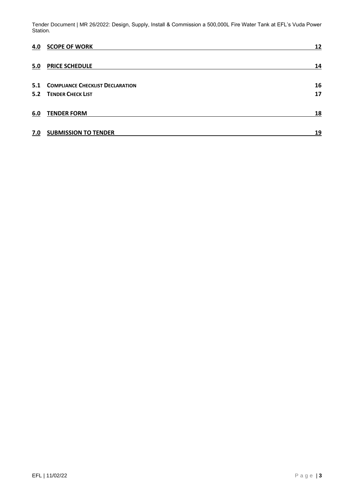| 4.0 | <b>SCOPE OF WORK</b>                        | 12 |
|-----|---------------------------------------------|----|
| 5.0 | <b>PRICE SCHEDULE</b>                       | 14 |
|     | <b>5.1 COMPLIANCE CHECKLIST DECLARATION</b> | 16 |
|     | <b>5.2 TENDER CHECK LIST</b>                | 17 |
| 6.0 | <b>TENDER FORM</b>                          | 18 |
| 7.0 | <b>SUBMISSION TO TENDER</b>                 | 19 |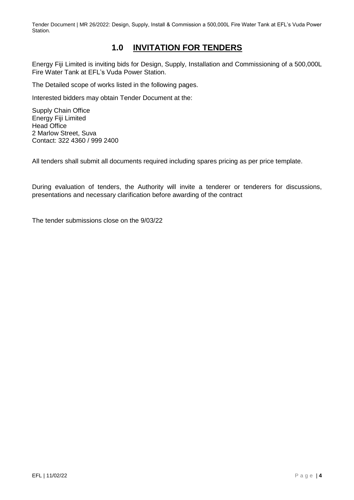## **1.0 INVITATION FOR TENDERS**

<span id="page-3-0"></span>Energy Fiji Limited is inviting bids for Design, Supply, Installation and Commissioning of a 500,000L Fire Water Tank at EFL's Vuda Power Station.

The Detailed scope of works listed in the following pages.

Interested bidders may obtain Tender Document at the:

Supply Chain Office Energy Fiji Limited Head Office 2 Marlow Street, Suva Contact: 322 4360 / 999 2400

All tenders shall submit all documents required including spares pricing as per price template.

During evaluation of tenders, the Authority will invite a tenderer or tenderers for discussions, presentations and necessary clarification before awarding of the contract

The tender submissions close on the 9/03/22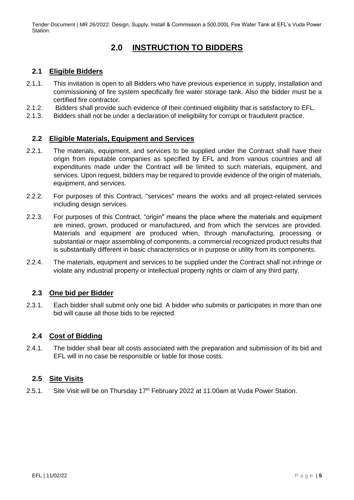## **2.0 INSTRUCTION TO BIDDERS**

#### <span id="page-4-1"></span><span id="page-4-0"></span>**2.1 Eligible Bidders**

- 2.1.1. This invitation is open to all Bidders who have previous experience in supply, installation and commissioning of fire system specifically fire water storage tank. Also the bidder must be a certified fire contractor.
- 2.1.2. Bidders shall provide such evidence of their continued eligibility that is satisfactory to EFL.
- 2.1.3. Bidders shall not be under a declaration of ineligibility for corrupt or fraudulent practice.

#### <span id="page-4-2"></span>**2.2 Eligible Materials, Equipment and Services**

- 2.2.1. The materials, equipment, and services to be supplied under the Contract shall have their origin from reputable companies as specified by EFL and from various countries and all expenditures made under the Contract will be limited to such materials, equipment, and services. Upon request, bidders may be required to provide evidence of the origin of materials, equipment, and services.
- 2.2.2. For purposes of this Contract, "services" means the works and all project-related services including design services.
- 2.2.3. For purposes of this Contract, "origin" means the place where the materials and equipment are mined, grown, produced or manufactured, and from which the services are provided. Materials and equipment are produced when, through manufacturing, processing or substantial or major assembling of components, a commercial recognized product results that is substantially different in basic characteristics or in purpose or utility from its components.
- 2.2.4. The materials, equipment and services to be supplied under the Contract shall not infringe or violate any industrial property or intellectual property rights or claim of any third party.

#### <span id="page-4-3"></span>**2.3 One bid per Bidder**

2.3.1. Each bidder shall submit only one bid. A bidder who submits or participates in more than one bid will cause all those bids to be rejected.

#### <span id="page-4-4"></span>**2.4 Cost of Bidding**

2.4.1. The bidder shall bear all costs associated with the preparation and submission of its bid and EFL will in no case be responsible or liable for those costs.

#### <span id="page-4-5"></span>**2.5 Site Visits**

2.5.1. Site Visit will be on Thursday 17<sup>th</sup> February 2022 at 11.00am at Vuda Power Station.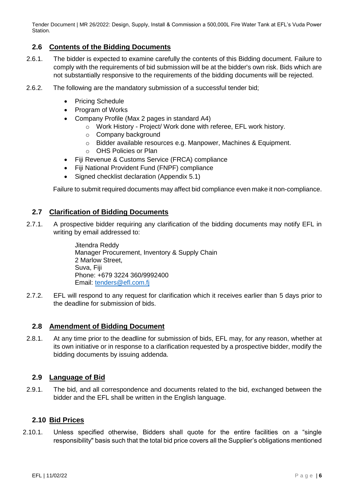#### <span id="page-5-0"></span>**2.6 Contents of the Bidding Documents**

- 2.6.1. The bidder is expected to examine carefully the contents of this Bidding document. Failure to comply with the requirements of bid submission will be at the bidder's own risk. Bids which are not substantially responsive to the requirements of the bidding documents will be rejected.
- 2.6.2. The following are the mandatory submission of a successful tender bid;
	- Pricing Schedule
	- Program of Works
	- Company Profile (Max 2 pages in standard A4)
		- o Work History Project/ Work done with referee, EFL work history.
		- o Company background
		- o Bidder available resources e.g. Manpower, Machines & Equipment.
		- o OHS Policies or Plan
	- Fiji Revenue & Customs Service (FRCA) compliance
	- Fiji National Provident Fund (FNPF) compliance
	- Signed checklist declaration (Appendix 5.1)

Failure to submit required documents may affect bid compliance even make it non-compliance.

#### <span id="page-5-1"></span>**2.7 Clarification of Bidding Documents**

2.7.1. A prospective bidder requiring any clarification of the bidding documents may notify EFL in writing by email addressed to:

> Jitendra Reddy Manager Procurement, Inventory & Supply Chain 2 Marlow Street, Suva, Fiji Phone: +679 3224 360/9992400 Email: [tenders@efl.com.fj](mailto:tenders@efl.com.fj)

2.7.2. EFL will respond to any request for clarification which it receives earlier than 5 days prior to the deadline for submission of bids.

#### <span id="page-5-2"></span>**2.8 Amendment of Bidding Document**

2.8.1. At any time prior to the deadline for submission of bids, EFL may, for any reason, whether at its own initiative or in response to a clarification requested by a prospective bidder, modify the bidding documents by issuing addenda.

#### <span id="page-5-3"></span>**2.9 Language of Bid**

2.9.1. The bid, and all correspondence and documents related to the bid, exchanged between the bidder and the EFL shall be written in the English language.

#### <span id="page-5-4"></span>**2.10 Bid Prices**

2.10.1. Unless specified otherwise, Bidders shall quote for the entire facilities on a "single responsibility" basis such that the total bid price covers all the Supplier's obligations mentioned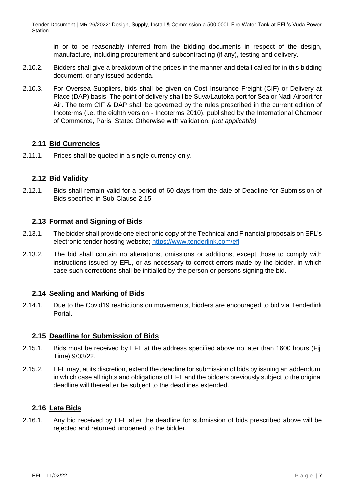in or to be reasonably inferred from the bidding documents in respect of the design, manufacture, including procurement and subcontracting (if any), testing and delivery.

- 2.10.2. Bidders shall give a breakdown of the prices in the manner and detail called for in this bidding document, or any issued addenda.
- 2.10.3. For Oversea Suppliers, bids shall be given on Cost Insurance Freight (CIF) or Delivery at Place (DAP) basis. The point of delivery shall be Suva/Lautoka port for Sea or Nadi Airport for Air. The term CIF & DAP shall be governed by the rules prescribed in the current edition of Incoterms (i.e. the eighth version - Incoterms 2010), published by the International Chamber of Commerce, Paris. Stated Otherwise with validation. *(not applicable)*

#### <span id="page-6-0"></span>**2.11 Bid Currencies**

2.11.1. Prices shall be quoted in a single currency only.

#### <span id="page-6-1"></span>**2.12 Bid Validity**

2.12.1. Bids shall remain valid for a period of 60 days from the date of Deadline for Submission of Bids specified in Sub-Clause 2.15.

#### <span id="page-6-2"></span>**2.13 Format and Signing of Bids**

- 2.13.1. The bidder shall provide one electronic copy of the Technical and Financial proposals on EFL's electronic tender hosting website; <https://www.tenderlink.com/efl>
- 2.13.2. The bid shall contain no alterations, omissions or additions, except those to comply with instructions issued by EFL, or as necessary to correct errors made by the bidder, in which case such corrections shall be initialled by the person or persons signing the bid.

#### <span id="page-6-3"></span>**2.14 Sealing and Marking of Bids**

2.14.1. Due to the Covid19 restrictions on movements, bidders are encouraged to bid via Tenderlink Portal.

#### <span id="page-6-4"></span>**2.15 Deadline for Submission of Bids**

- 2.15.1. Bids must be received by EFL at the address specified above no later than 1600 hours (Fiji Time) 9/03/22.
- 2.15.2. EFL may, at its discretion, extend the deadline for submission of bids by issuing an addendum, in which case all rights and obligations of EFL and the bidders previously subject to the original deadline will thereafter be subject to the deadlines extended.

#### <span id="page-6-5"></span>**2.16 Late Bids**

2.16.1. Any bid received by EFL after the deadline for submission of bids prescribed above will be rejected and returned unopened to the bidder.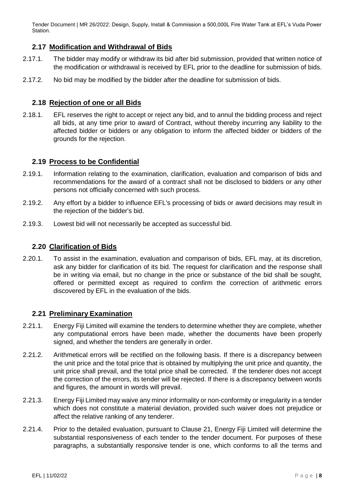#### <span id="page-7-0"></span>**2.17 Modification and Withdrawal of Bids**

- 2.17.1. The bidder may modify or withdraw its bid after bid submission, provided that written notice of the modification or withdrawal is received by EFL prior to the deadline for submission of bids.
- 2.17.2. No bid may be modified by the bidder after the deadline for submission of bids.

#### <span id="page-7-1"></span>**2.18 Rejection of one or all Bids**

2.18.1. EFL reserves the right to accept or reject any bid, and to annul the bidding process and reject all bids, at any time prior to award of Contract, without thereby incurring any liability to the affected bidder or bidders or any obligation to inform the affected bidder or bidders of the grounds for the rejection.

#### <span id="page-7-2"></span>**2.19 Process to be Confidential**

- 2.19.1. Information relating to the examination, clarification, evaluation and comparison of bids and recommendations for the award of a contract shall not be disclosed to bidders or any other persons not officially concerned with such process.
- 2.19.2. Any effort by a bidder to influence EFL's processing of bids or award decisions may result in the rejection of the bidder's bid.
- 2.19.3. Lowest bid will not necessarily be accepted as successful bid.

#### <span id="page-7-3"></span>**2.20 Clarification of Bids**

2.20.1. To assist in the examination, evaluation and comparison of bids, EFL may, at its discretion, ask any bidder for clarification of its bid. The request for clarification and the response shall be in writing via email, but no change in the price or substance of the bid shall be sought, offered or permitted except as required to confirm the correction of arithmetic errors discovered by EFL in the evaluation of the bids.

#### <span id="page-7-4"></span>**2.21 Preliminary Examination**

- 2.21.1. Energy Fiji Limited will examine the tenders to determine whether they are complete, whether any computational errors have been made, whether the documents have been properly signed, and whether the tenders are generally in order.
- 2.21.2. Arithmetical errors will be rectified on the following basis. If there is a discrepancy between the unit price and the total price that is obtained by multiplying the unit price and quantity, the unit price shall prevail, and the total price shall be corrected. If the tenderer does not accept the correction of the errors, its tender will be rejected. If there is a discrepancy between words and figures, the amount in words will prevail.
- 2.21.3. Energy Fiji Limited may waive any minor informality or non-conformity or irregularity in a tender which does not constitute a material deviation, provided such waiver does not prejudice or affect the relative ranking of any tenderer.
- 2.21.4. Prior to the detailed evaluation, pursuant to Clause 21, Energy Fiji Limited will determine the substantial responsiveness of each tender to the tender document. For purposes of these paragraphs, a substantially responsive tender is one, which conforms to all the terms and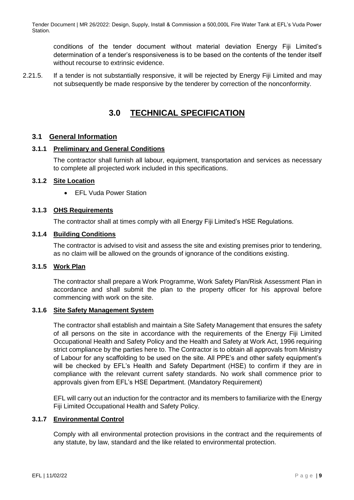conditions of the tender document without material deviation Energy Fiji Limited's determination of a tender's responsiveness is to be based on the contents of the tender itself without recourse to extrinsic evidence.

2.21.5. If a tender is not substantially responsive, it will be rejected by Energy Fiji Limited and may not subsequently be made responsive by the tenderer by correction of the nonconformity.

## **3.0 TECHNICAL SPECIFICATION**

#### <span id="page-8-1"></span><span id="page-8-0"></span>**3.1 General Information**

#### <span id="page-8-2"></span>**3.1.1 Preliminary and General Conditions**

The contractor shall furnish all labour, equipment, transportation and services as necessary to complete all projected work included in this specifications.

#### <span id="page-8-3"></span>**3.1.2 Site Location**

• EFL Vuda Power Station

#### <span id="page-8-4"></span>**3.1.3 OHS Requirements**

The contractor shall at times comply with all Energy Fiji Limited's HSE Regulations.

#### <span id="page-8-5"></span>**3.1.4 Building Conditions**

The contractor is advised to visit and assess the site and existing premises prior to tendering, as no claim will be allowed on the grounds of ignorance of the conditions existing.

#### <span id="page-8-6"></span>**3.1.5 Work Plan**

The contractor shall prepare a Work Programme, Work Safety Plan/Risk Assessment Plan in accordance and shall submit the plan to the property officer for his approval before commencing with work on the site.

#### <span id="page-8-7"></span>**3.1.6 Site Safety Management System**

The contractor shall establish and maintain a Site Safety Management that ensures the safety of all persons on the site in accordance with the requirements of the Energy Fiji Limited Occupational Health and Safety Policy and the Health and Safety at Work Act, 1996 requiring strict compliance by the parties here to. The Contractor is to obtain all approvals from Ministry of Labour for any scaffolding to be used on the site. All PPE's and other safety equipment's will be checked by EFL's Health and Safety Department (HSE) to confirm if they are in compliance with the relevant current safety standards. No work shall commence prior to approvals given from EFL's HSE Department. (Mandatory Requirement)

EFL will carry out an induction for the contractor and its members to familiarize with the Energy Fiji Limited Occupational Health and Safety Policy.

#### <span id="page-8-8"></span>**3.1.7 Environmental Control**

Comply with all environmental protection provisions in the contract and the requirements of any statute, by law, standard and the like related to environmental protection.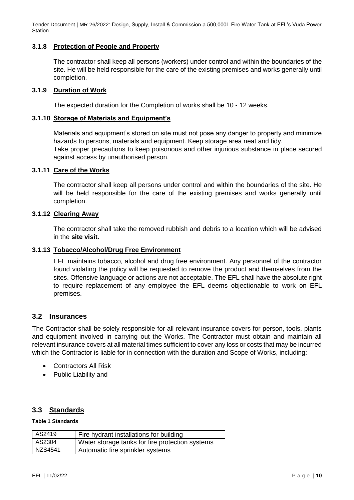#### <span id="page-9-0"></span>**3.1.8 Protection of People and Property**

The contractor shall keep all persons (workers) under control and within the boundaries of the site. He will be held responsible for the care of the existing premises and works generally until completion.

#### <span id="page-9-1"></span>**3.1.9 Duration of Work**

The expected duration for the Completion of works shall be 10 - 12 weeks.

#### <span id="page-9-2"></span>**3.1.10 Storage of Materials and Equipment's**

Materials and equipment's stored on site must not pose any danger to property and minimize hazards to persons, materials and equipment. Keep storage area neat and tidy. Take proper precautions to keep poisonous and other injurious substance in place secured against access by unauthorised person.

#### <span id="page-9-3"></span>**3.1.11 Care of the Works**

The contractor shall keep all persons under control and within the boundaries of the site. He will be held responsible for the care of the existing premises and works generally until completion.

#### <span id="page-9-4"></span>**3.1.12 Clearing Away**

The contractor shall take the removed rubbish and debris to a location which will be advised in the **site visit**.

#### <span id="page-9-5"></span>**3.1.13 Tobacco/Alcohol/Drug Free Environment**

EFL maintains tobacco, alcohol and drug free environment. Any personnel of the contractor found violating the policy will be requested to remove the product and themselves from the sites. Offensive language or actions are not acceptable. The EFL shall have the absolute right to require replacement of any employee the EFL deems objectionable to work on EFL premises.

#### <span id="page-9-6"></span>**3.2 Insurances**

The Contractor shall be solely responsible for all relevant insurance covers for person, tools, plants and equipment involved in carrying out the Works. The Contractor must obtain and maintain all relevant insurance covers at all material times sufficient to cover any loss or costs that may be incurred which the Contractor is liable for in connection with the duration and Scope of Works, including:

- Contractors All Risk
- Public Liability and

#### <span id="page-9-7"></span>**3.3 Standards**

#### **Table 1 Standards**

| AS2419  | Fire hydrant installations for building         |
|---------|-------------------------------------------------|
| AS2304  | Water storage tanks for fire protection systems |
| NZS4541 | Automatic fire sprinkler systems                |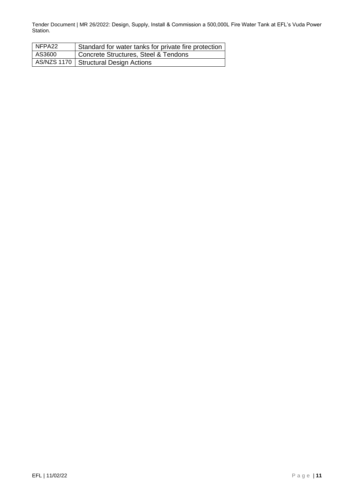| NFPA22 | Standard for water tanks for private fire protection |
|--------|------------------------------------------------------|
| AS3600 | Concrete Structures, Steel & Tendons                 |
|        | AS/NZS 1170   Structural Design Actions              |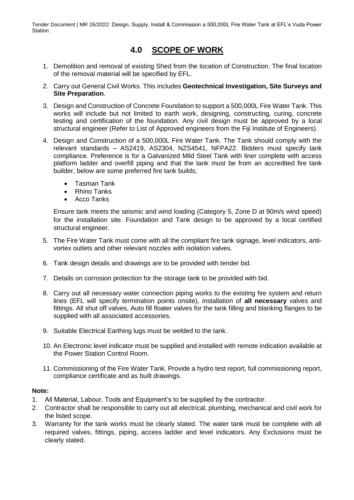## **4.0 SCOPE OF WORK**

- <span id="page-11-0"></span>1. Demolition and removal of existing Shed from the location of Construction. The final location of the removal material will be specified by EFL.
- 2. Carry out General Civil Works. This includes **Geotechnical Investigation, Site Surveys and Site Preparation**.
- 3. Design and Construction of Concrete Foundation to support a 500,000L Fire Water Tank. This works will include but not limited to earth work, designing, constructing, curing, concrete testing and certification of the foundation. Any civil design must be approved by a local structural engineer (Refer to List of Approved engineers from the Fiji Institute of Engineers).
- 4. Design and Construction of a 500,000L Fire Water Tank. The Tank should comply with the relevant standards – AS2419, AS2304, NZS4541, NFPA22. Bidders must specify tank compliance. Preference is for a Galvanized Mild Steel Tank with liner complete with access platform ladder and overfill piping and that the tank must be from an accredited fire tank builder, below are some preferred fire tank builds;
	- Tasman Tank
	- Rhino Tanks
	- Acco Tanks

Ensure tank meets the seismic and wind loading (Category 5, Zone D at 90m/s wind speed) for the installation site. Foundation and Tank design to be approved by a local certified structural engineer.

- 5. The Fire Water Tank must come with all the compliant fire tank signage, level indicators, antivortex outlets and other relevant nozzles with isolation valves.
- 6. Tank design details and drawings are to be provided with tender bid.
- 7. Details on corrosion protection for the storage tank to be provided with bid.
- 8. Carry out all necessary water connection piping works to the existing fire system and return lines (EFL will specify termination points onsite), installation of **all necessary** valves and fittings. All shut off valves, Auto fill floater valves for the tank filling and blanking flanges to be supplied with all associated accessories.
- 9. Suitable Electrical Earthing lugs must be welded to the tank.
- 10. An Electronic level indicator must be supplied and installed with remote indication available at the Power Station Control Room.
- 11. Commissioning of the Fire Water Tank. Provide a hydro test report, full commissioning report, compliance certificate and as built drawings.

#### **Note:**

- 1. All Material, Labour, Tools and Equipment's to be supplied by the contractor.
- 2. Contractor shall be responsible to carry out all electrical, plumbing, mechanical and civil work for the listed scope.
- 3. Warranty for the tank works must be clearly stated. The water tank must be complete with all required valves, fittings, piping, access ladder and level indicators. Any Exclusions must be clearly stated.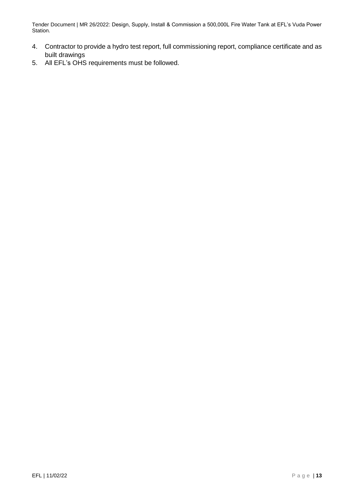- 4. Contractor to provide a hydro test report, full commissioning report, compliance certificate and as built drawings
- 5. All EFL's OHS requirements must be followed.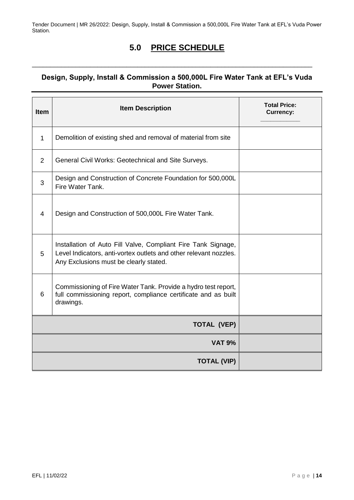## **5.0 PRICE SCHEDULE**

<span id="page-13-0"></span>\_\_\_\_\_\_\_\_\_\_\_\_\_\_\_\_\_\_\_\_\_\_\_\_\_\_\_\_\_\_\_\_\_\_\_\_\_\_\_\_\_\_\_\_\_\_\_\_\_\_\_\_\_\_\_\_\_\_\_\_\_\_\_\_\_\_\_\_\_\_\_\_\_\_\_\_\_

### **Design, Supply, Install & Commission a 500,000L Fire Water Tank at EFL's Vuda Power Station.**

| <b>Item</b>    | <b>Item Description</b>                                                                                                                                                      | <b>Total Price:</b><br><b>Currency:</b> |
|----------------|------------------------------------------------------------------------------------------------------------------------------------------------------------------------------|-----------------------------------------|
| 1              | Demolition of existing shed and removal of material from site                                                                                                                |                                         |
| $\overline{2}$ | General Civil Works: Geotechnical and Site Surveys.                                                                                                                          |                                         |
| 3              | Design and Construction of Concrete Foundation for 500,000L<br>Fire Water Tank.                                                                                              |                                         |
| 4              | Design and Construction of 500,000L Fire Water Tank.                                                                                                                         |                                         |
| 5              | Installation of Auto Fill Valve, Compliant Fire Tank Signage,<br>Level Indicators, anti-vortex outlets and other relevant nozzles.<br>Any Exclusions must be clearly stated. |                                         |
| 6              | Commissioning of Fire Water Tank. Provide a hydro test report,<br>full commissioning report, compliance certificate and as built<br>drawings.                                |                                         |
|                | <b>TOTAL (VEP)</b>                                                                                                                                                           |                                         |
|                | <b>VAT 9%</b>                                                                                                                                                                |                                         |
|                | <b>TOTAL (VIP)</b>                                                                                                                                                           |                                         |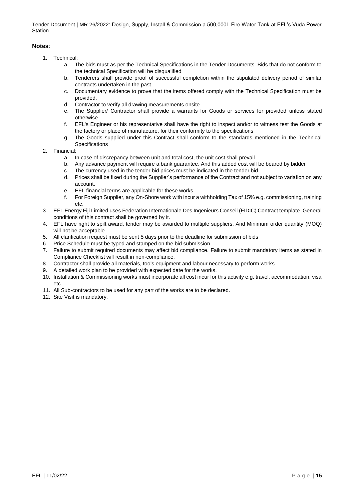#### **Notes**:

- 1. Technical;
	- a. The bids must as per the Technical Specifications in the Tender Documents. Bids that do not conform to the technical Specification will be disqualified
	- b. Tenderers shall provide proof of successful completion within the stipulated delivery period of similar contracts undertaken in the past.
	- c. Documentary evidence to prove that the items offered comply with the Technical Specification must be provided.
	- d. Contractor to verify all drawing measurements onsite.
	- e. The Supplier/ Contractor shall provide a warrants for Goods or services for provided unless stated otherwise.
	- f. EFL's Engineer or his representative shall have the right to inspect and/or to witness test the Goods at the factory or place of manufacture, for their conformity to the specifications
	- g. The Goods supplied under this Contract shall conform to the standards mentioned in the Technical Specifications
- 2. Financial;
	- a. In case of discrepancy between unit and total cost, the unit cost shall prevail
	- b. Any advance payment will require a bank guarantee. And this added cost will be beared by bidder
	- c. The currency used in the tender bid prices must be indicated in the tender bid
	- d. Prices shall be fixed during the Supplier's performance of the Contract and not subject to variation on any account.
	- e. EFL financial terms are applicable for these works.
	- f. For Foreign Supplier, any On-Shore work with incur a withholding Tax of 15% e.g. commissioning, training etc.
- 3. EFL Energy Fiji Limited uses Federation Internationale Des Ingenieurs Conseil (FIDIC) Contract template. General conditions of this contract shall be governed by it.
- 4. EFL have right to spilt award, tender may be awarded to multiple suppliers. And Minimum order quantity (MOQ) will not be acceptable.
- 5. All clarification request must be sent 5 days prior to the deadline for submission of bids
- 6. Price Schedule must be typed and stamped on the bid submission.
- 7. Failure to submit required documents may affect bid compliance. Failure to submit mandatory items as stated in Compliance Checklist will result in non-compliance.
- 8. Contractor shall provide all materials, tools equipment and labour necessary to perform works.
- 9. A detailed work plan to be provided with expected date for the works.
- 10. Installation & Commissioning works must incorporate all cost incur for this activity e.g. travel, accommodation, visa etc.
- 11. All Sub-contractors to be used for any part of the works are to be declared.
- 12. Site Visit is mandatory.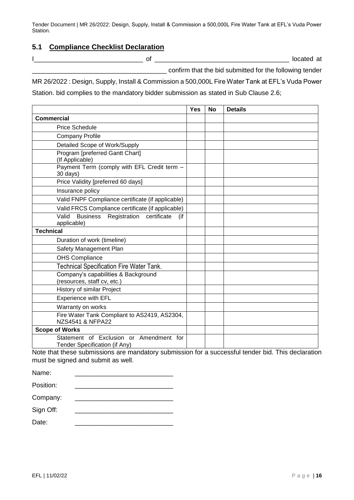#### <span id="page-15-0"></span>**5.1 Compliance Checklist Declaration**

| ı |  |  |  |
|---|--|--|--|
|   |  |  |  |

I\_\_\_\_\_\_\_\_\_\_\_\_\_\_\_\_\_\_\_\_\_\_\_\_\_\_\_\_\_\_ of \_\_\_\_\_\_\_\_\_\_\_\_\_\_\_\_\_\_\_\_\_\_\_\_\_\_\_\_\_\_\_\_\_\_\_\_\_ located at

\_\_\_\_\_\_\_\_\_\_\_\_\_\_\_\_\_\_\_\_\_\_\_\_\_\_\_\_\_\_\_\_\_\_\_\_\_ confirm that the bid submitted for the following tender

MR 26/2022 : Design, Supply, Install & Commission a 500,000L Fire Water Tank at EFL's Vuda Power Station. bid complies to the mandatory bidder submission as stated in Sub Clause 2.6;

|                                                                               | Yes | <b>No</b> | <b>Details</b> |
|-------------------------------------------------------------------------------|-----|-----------|----------------|
| <b>Commercial</b>                                                             |     |           |                |
| <b>Price Schedule</b>                                                         |     |           |                |
| <b>Company Profile</b>                                                        |     |           |                |
| Detailed Scope of Work/Supply                                                 |     |           |                |
| Program [preferred Gantt Chart]<br>(If Applicable)                            |     |           |                |
| Payment Term (comply with EFL Credit term -<br>30 days)                       |     |           |                |
| Price Validity [preferred 60 days]                                            |     |           |                |
| Insurance policy                                                              |     |           |                |
| Valid FNPF Compliance certificate (if applicable)                             |     |           |                |
| Valid FRCS Compliance certificate (if applicable)                             |     |           |                |
| certificate<br>Valid<br><b>Business</b><br>Registration<br>(if<br>applicable) |     |           |                |
| <b>Technical</b>                                                              |     |           |                |
| Duration of work (timeline)                                                   |     |           |                |
| Safety Management Plan                                                        |     |           |                |
| OHS Compliance                                                                |     |           |                |
| Technical Specification Fire Water Tank.                                      |     |           |                |
| Company's capabilities & Background<br>(resources, staff cv, etc.)            |     |           |                |
| History of similar Project                                                    |     |           |                |
| <b>Experience with EFL</b>                                                    |     |           |                |
| Warranty on works                                                             |     |           |                |
| Fire Water Tank Compliant to AS2419, AS2304,<br>NZS4541 & NFPA22              |     |           |                |
| <b>Scope of Works</b>                                                         |     |           |                |
| Statement of Exclusion or Amendment for<br>Tender Specification (if Any)      |     |           |                |

Note that these submissions are mandatory submission for a successful tender bid. This declaration must be signed and submit as well.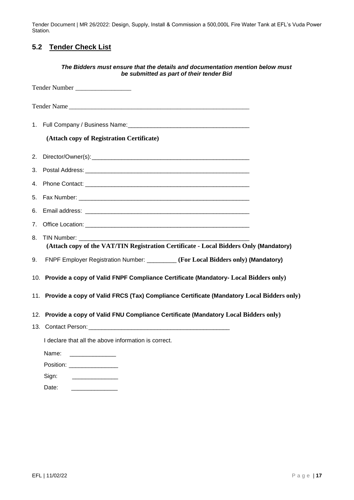## <span id="page-16-0"></span>**5.2 Tender Check List**

|    | The Bidders must ensure that the details and documentation mention below must<br>be submitted as part of their tender Bid |
|----|---------------------------------------------------------------------------------------------------------------------------|
|    | Tender Number                                                                                                             |
|    | Tender Name                                                                                                               |
|    |                                                                                                                           |
|    | (Attach copy of Registration Certificate)                                                                                 |
|    |                                                                                                                           |
|    |                                                                                                                           |
|    |                                                                                                                           |
|    |                                                                                                                           |
| 6. |                                                                                                                           |
|    |                                                                                                                           |
| 8. | TIN Number:<br>(Attach copy of the VAT/TIN Registration Certificate - Local Bidders Only (Mandatory)                      |
| 9. | FNPF Employer Registration Number: _________ (For Local Bidders only) (Mandatory)                                         |
|    | 10. Provide a copy of Valid FNPF Compliance Certificate (Mandatory- Local Bidders only)                                   |
|    | 11. Provide a copy of Valid FRCS (Tax) Compliance Certificate (Mandatory Local Bidders only)                              |
|    | 12. Provide a copy of Valid FNU Compliance Certificate (Mandatory Local Bidders only)                                     |
|    | 13. Contact Person:                                                                                                       |
|    | I declare that all the above information is correct.                                                                      |
|    | Name:<br>the control of the control of the control of                                                                     |
|    | Position: __________________                                                                                              |
|    | Sign:                                                                                                                     |
|    | Date:                                                                                                                     |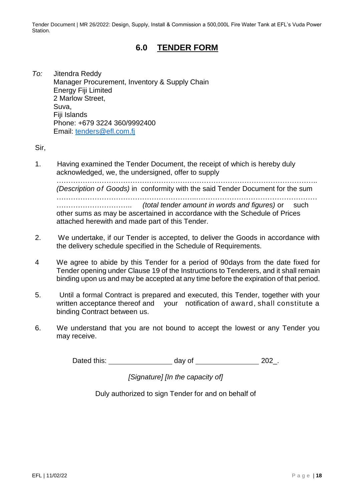### **6.0 TENDER FORM**

<span id="page-17-0"></span>*To:* Jitendra Reddy Manager Procurement, Inventory & Supply Chain Energy Fiji Limited 2 Marlow Street, Suva, Fiji Islands Phone: +679 3224 360/9992400 Email: [tenders@efl.com.fj](mailto:tenders@efl.com.fj)

Sir,

1. Having examined the Tender Document, the receipt of which is hereby duly acknowledged, we, the undersigned, offer to supply

……………………………………………………………………………………………….. *(Description of Goods)* in conformity with the said Tender Document for the sum …………………………………………………..…………………………………………… ………………………….. *(total tender amount in words and figures)* or such other sums as may be ascertained in accordance with the Schedule of Prices attached herewith and made part of this Tender.

- 2. We undertake, if our Tender is accepted, to deliver the Goods in accordance with the delivery schedule specified in the Schedule of Requirements.
- 4 We agree to abide by this Tender for a period of 90days from the date fixed for Tender opening under Clause 19 of the Instructions to Tenderers, and it shall remain binding upon us and may be accepted at any time before the expiration of that period.
- 5. Until a formal Contract is prepared and executed, this Tender, together with your written acceptance thereof and your notification of award, shall constitute a binding Contract between us.
- 6. We understand that you are not bound to accept the lowest or any Tender you may receive.

Dated this: day of 202.

*[Signature] [In the capacity of]*

Duly authorized to sign Tender for and on behalf of